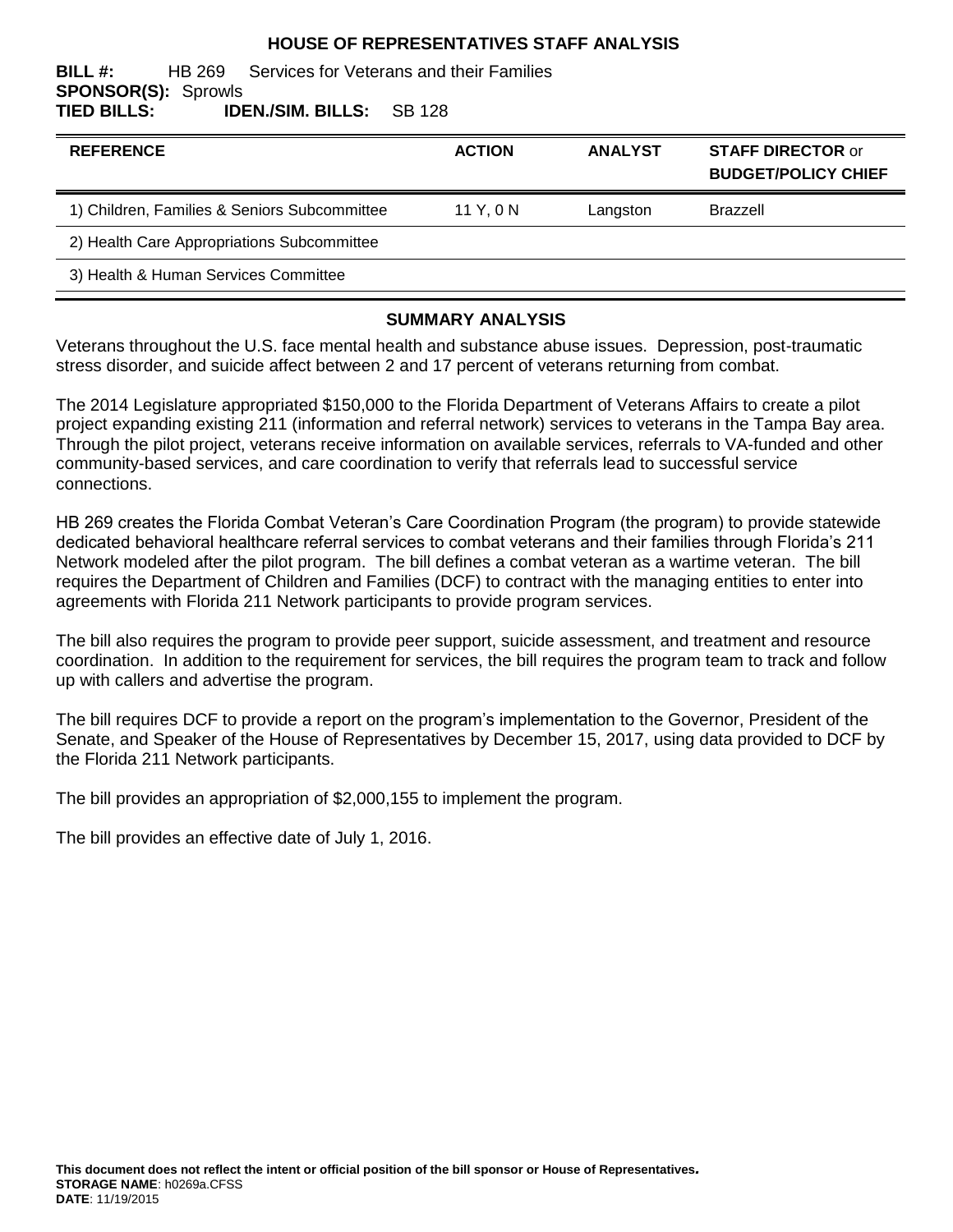#### **HOUSE OF REPRESENTATIVES STAFF ANALYSIS**

#### **BILL #:** HB 269 Services for Veterans and their Families **SPONSOR(S):** Sprowls **TIED BILLS: IDEN./SIM. BILLS:** SB 128

| <b>REFERENCE</b>                             | <b>ACTION</b> | <b>ANALYST</b> | <b>STAFF DIRECTOR or</b><br><b>BUDGET/POLICY CHIEF</b> |
|----------------------------------------------|---------------|----------------|--------------------------------------------------------|
| 1) Children, Families & Seniors Subcommittee | 11 Y, 0 N     | Langston       | <b>Brazzell</b>                                        |
| 2) Health Care Appropriations Subcommittee   |               |                |                                                        |
| 3) Health & Human Services Committee         |               |                |                                                        |

#### **SUMMARY ANALYSIS**

Veterans throughout the U.S. face mental health and substance abuse issues. Depression, post-traumatic stress disorder, and suicide affect between 2 and 17 percent of veterans returning from combat.

The 2014 Legislature appropriated \$150,000 to the Florida Department of Veterans Affairs to create a pilot project expanding existing 211 (information and referral network) services to veterans in the Tampa Bay area. Through the pilot project, veterans receive information on available services, referrals to VA-funded and other community-based services, and care coordination to verify that referrals lead to successful service connections.

HB 269 creates the Florida Combat Veteran's Care Coordination Program (the program) to provide statewide dedicated behavioral healthcare referral services to combat veterans and their families through Florida's 211 Network modeled after the pilot program. The bill defines a combat veteran as a wartime veteran. The bill requires the Department of Children and Families (DCF) to contract with the managing entities to enter into agreements with Florida 211 Network participants to provide program services.

The bill also requires the program to provide peer support, suicide assessment, and treatment and resource coordination. In addition to the requirement for services, the bill requires the program team to track and follow up with callers and advertise the program.

The bill requires DCF to provide a report on the program's implementation to the Governor, President of the Senate, and Speaker of the House of Representatives by December 15, 2017, using data provided to DCF by the Florida 211 Network participants.

The bill provides an appropriation of \$2,000,155 to implement the program.

The bill provides an effective date of July 1, 2016.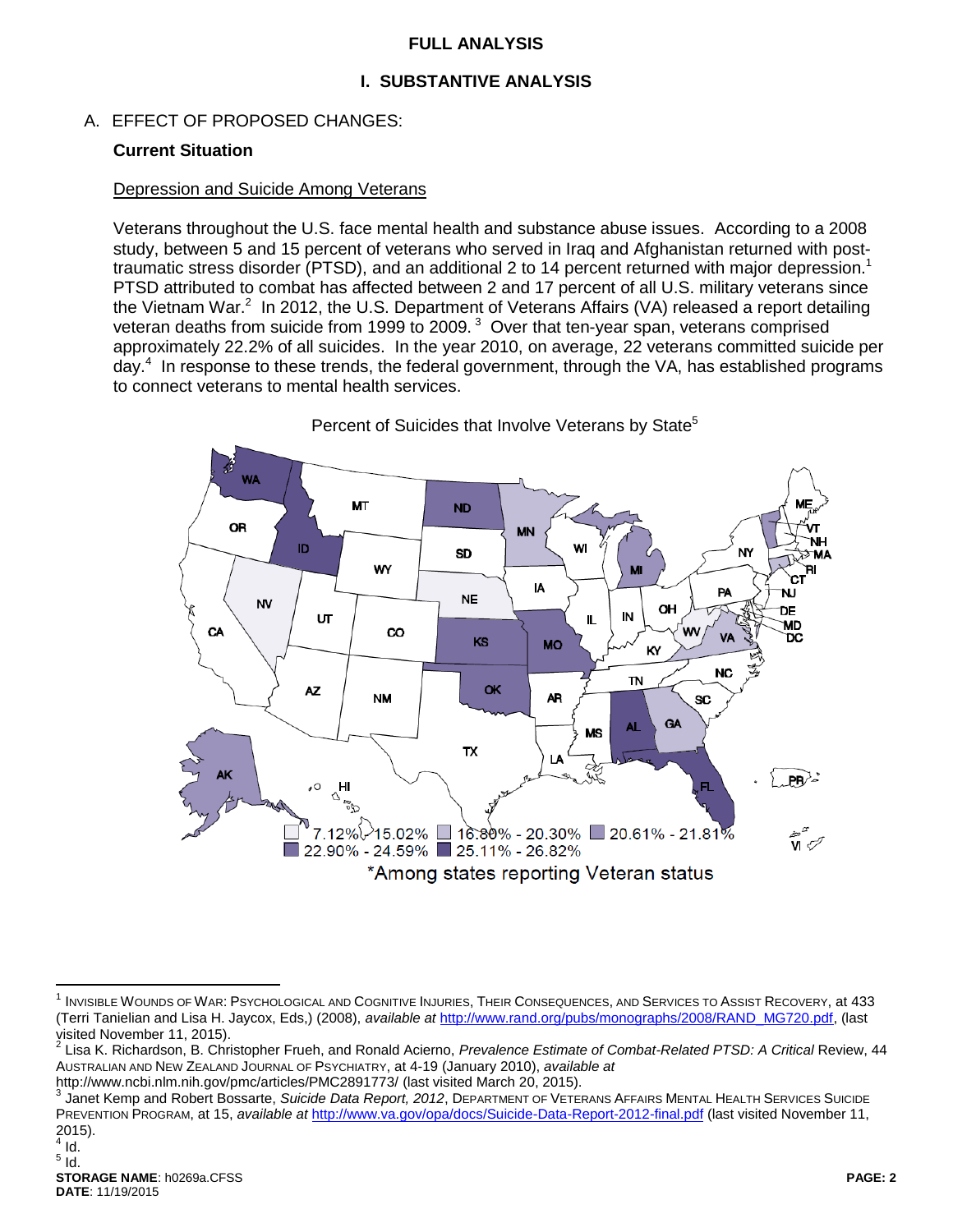### **FULL ANALYSIS**

# **I. SUBSTANTIVE ANALYSIS**

A. EFFECT OF PROPOSED CHANGES:

### **Current Situation**

#### Depression and Suicide Among Veterans

Veterans throughout the U.S. face mental health and substance abuse issues. According to a 2008 study, between 5 and 15 percent of veterans who served in Iraq and Afghanistan returned with posttraumatic stress disorder (PTSD), and an additional 2 to 14 percent returned with major depression.<sup>1</sup> PTSD attributed to combat has affected between 2 and 17 percent of all U.S. military veterans since the Vietnam War.<sup>2</sup> In 2012, the U.S. Department of Veterans Affairs (VA) released a report detailing veteran deaths from suicide from 1999 to 2009. $3$  Over that ten-year span, veterans comprised approximately 22.2% of all suicides. In the year 2010, on average, 22 veterans committed suicide per day.<sup>4</sup> In response to these trends, the federal government, through the VA, has established programs to connect veterans to mental health services.



<span id="page-1-0"></span>Percent of Suicides that Involve Veterans by State<sup>5</sup>

http://www.ncbi.nlm.nih.gov/pmc/articles/PMC2891773/ (last visited March 20, 2015).

 $\overline{a}$ <sup>1</sup> INVISIBLE WOUNDS OF WAR: PSYCHOLOGICAL AND COGNITIVE INJURIES, THEIR CONSEQUENCES, AND SERVICES TO ASSIST RECOVERY, at 433 (Terri Tanielian and Lisa H. Jaycox, Eds,) (2008), *available at* [http://www.rand.org/pubs/monographs/2008/RAND\\_MG720.pdf,](http://www.rand.org/pubs/monographs/2008/RAND_MG720.pdf) (last

visited November 11, 2015).<br><sup>2</sup> Lisa K. Richardson, B. Christopher Frueh, and Ronald Acierno, *Prevalence Estimate of Combat-Related PTSD: A Critical* Review, 44 AUSTRALIAN AND NEW ZEALAND JOURNAL OF PSYCHIATRY, at 4-19 (January 2010), *available at*

<sup>3</sup> Janet Kemp and Robert Bossarte, *Suicide Data Report, 2012*, DEPARTMENT OF VETERANS AFFAIRS MENTAL HEALTH SERVICES SUICIDE PREVENTION PROGRAM, at 15, *available at <http://www.va.gov/opa/docs/Suicide-Data-Report-2012-final.pdf>* (last visited November 11, 2015).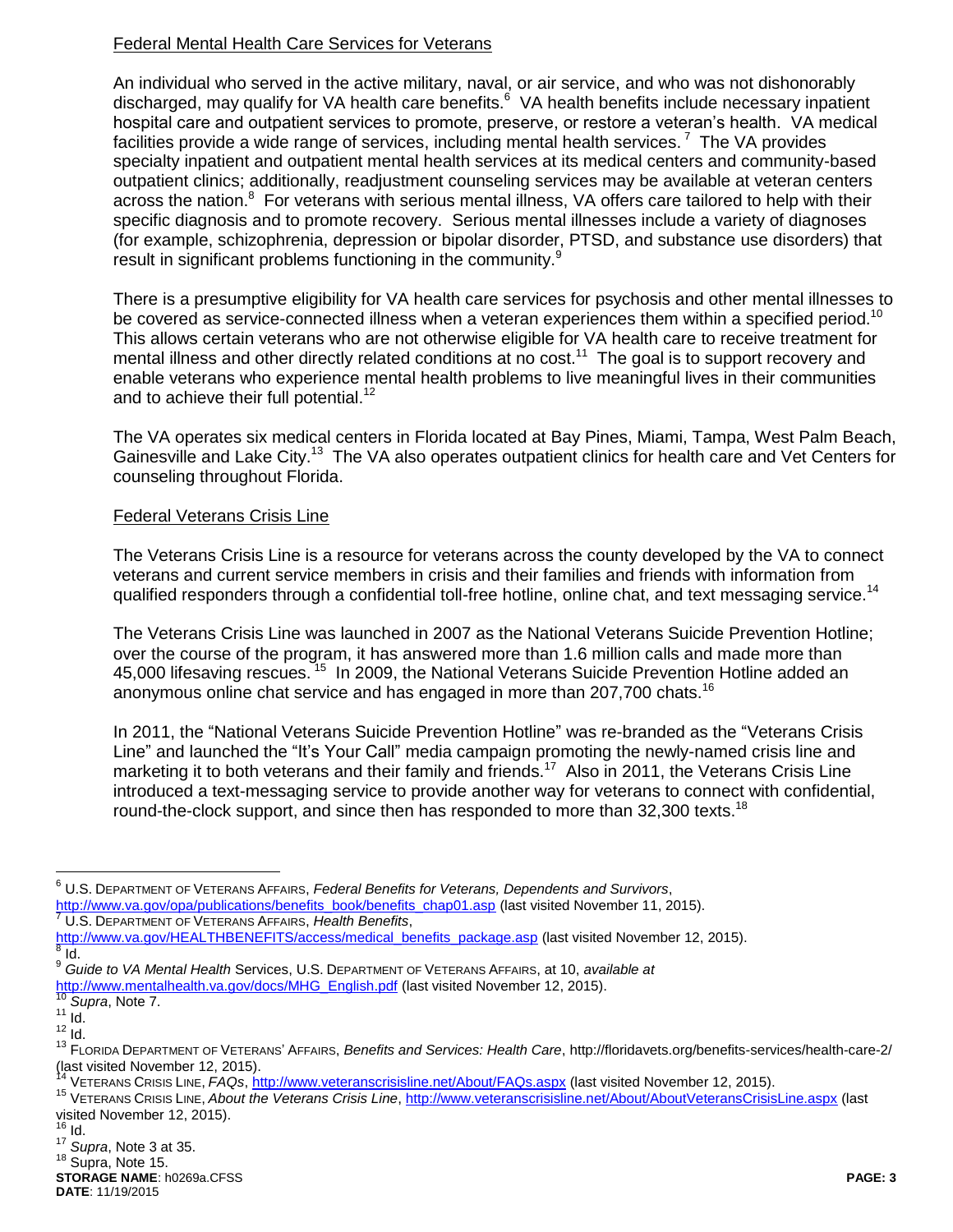# Federal Mental Health Care Services for Veterans

<span id="page-2-0"></span>An individual who served in the active military, naval, or air service, and who was not dishonorably discharged, may qualify for VA health care benefits.<sup>6</sup> VA health benefits include necessary inpatient hospital care and outpatient services to promote, preserve, or restore a veteran's health. VA medical facilities provide a wide range of services, including mental health services.<sup>7</sup> The VA provides specialty inpatient and outpatient mental health services at its medical centers and community-based outpatient clinics; additionally, readjustment counseling services may be available at veteran centers across the nation.<sup>8</sup> For veterans with serious mental illness, VA offers care tailored to help with their specific diagnosis and to promote recovery. Serious mental illnesses include a variety of diagnoses (for example, schizophrenia, depression or bipolar disorder, PTSD, and substance use disorders) that result in significant problems functioning in the community.<sup>9</sup>

There is a presumptive eligibility for VA health care services for psychosis and other mental illnesses to be covered as service-connected illness when a veteran experiences them within a specified period.<sup>10</sup> This allows certain veterans who are not otherwise eligible for VA health care to receive treatment for mental illness and other directly related conditions at no cost.<sup>11</sup> The goal is to support recovery and enable veterans who experience mental health problems to live meaningful lives in their communities and to achieve their full potential.<sup>12</sup>

The VA operates six medical centers in Florida located at Bay Pines, Miami, Tampa, West Palm Beach, Gainesville and Lake City.<sup>13</sup> The VA also operates outpatient clinics for health care and Vet Centers for counseling throughout Florida.

### Federal Veterans Crisis Line

The Veterans Crisis Line is a resource for veterans across the county developed by the VA to connect veterans and current service members in crisis and their families and friends with information from qualified responders through a confidential toll-free hotline, online chat, and text messaging service.<sup>14</sup>

<span id="page-2-1"></span>The Veterans Crisis Line was launched in 2007 as the National Veterans Suicide Prevention Hotline; over the course of the program, it has answered more than 1.6 million calls and made more than 45,000 lifesaving rescues.<sup>15</sup> In 2009, the National Veterans Suicide Prevention Hotline added an anonymous online chat service and has engaged in more than 207,700 chats.<sup>16</sup>

In 2011, the "National Veterans Suicide Prevention Hotline" was re-branded as the "Veterans Crisis Line" and launched the "It's Your Call" media campaign promoting the newly-named crisis line and marketing it to both veterans and their family and friends.<sup>17</sup> Also in 2011, the Veterans Crisis Line introduced a text-messaging service to provide another way for veterans to connect with confidential, round-the-clock support, and since then has responded to more than  $32,300$  texts.<sup>18</sup>

 $\overline{a}$ 

<sup>6</sup> U.S. DEPARTMENT OF VETERANS AFFAIRS, *Federal Benefits for Veterans, Dependents and Survivors*, [http://www.va.gov/opa/publications/benefits\\_book/benefits\\_chap01.asp](http://www.va.gov/opa/publications/benefits_book/benefits_chap01.asp) (last visited November 11, 2015).

<sup>7</sup> U.S. DEPARTMENT OF VETERANS AFFAIRS, *Health Benefits*,

[http://www.va.gov/HEALTHBENEFITS/access/medical\\_benefits\\_package.asp](http://www.va.gov/HEALTHBENEFITS/access/medical_benefits_package.asp) (last visited November 12, 2015).<br><sup>8</sup> id Id.

<sup>9</sup> *Guide to VA Mental Health* Services, U.S. DEPARTMENT OF VETERANS AFFAIRS, at 10, *available at*  [http://www.mentalhealth.va.gov/docs/MHG\\_English.pdf](http://www.mentalhealth.va.gov/docs/MHG_English.pdf) (last visited November 12, 2015).

Supra, Not[e 7.](#page-2-0)

 $11$  Id.

 $12$   $\dot{I}$ d.

<sup>13</sup> FLORIDA DEPARTMENT OF VETERANS' AFFAIRS, *Benefits and Services: Health Care*, http://floridavets.org/benefits-services/health-care-2/ (last visited November 12, 2015).

<sup>14</sup> VETERANS CRISIS LINE, *FAQs*, <http://www.veteranscrisisline.net/About/FAQs.aspx> (last visited November 12, 2015).

<sup>15</sup> VETERANS CRISIS LINE, *About the Veterans Crisis Line*, <http://www.veteranscrisisline.net/About/AboutVeteransCrisisLine.aspx> (last visited November 12, 2015).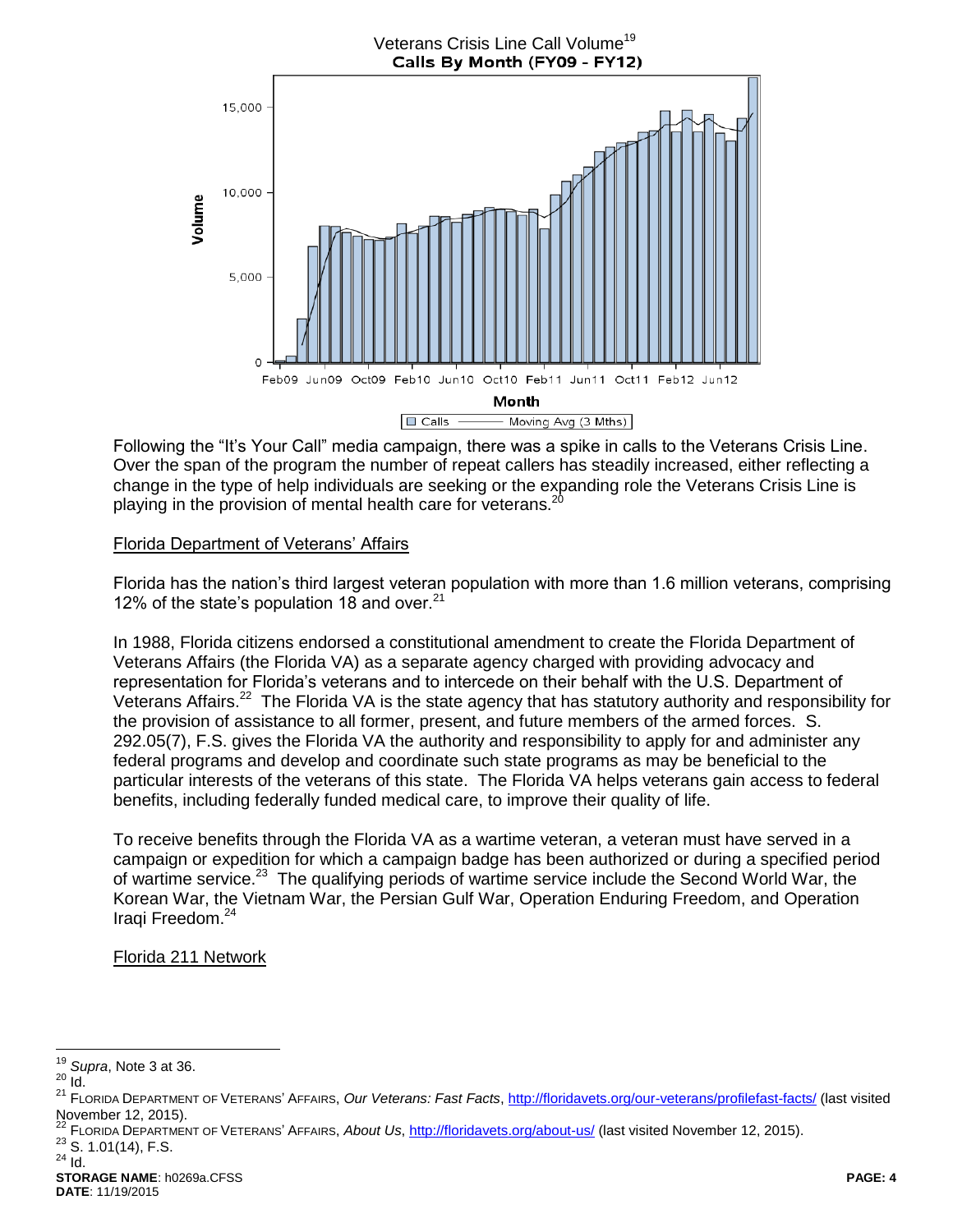

Following the "It's Your Call" media campaign, there was a spike in calls to the Veterans Crisis Line. Over the span of the program the number of repeat callers has steadily increased, either reflecting a change in the type of help individuals are seeking or the expanding role the Veterans Crisis Line is playing in the provision of mental health care for veterans. $2<sup>2</sup>$ 

# Florida Department of Veterans' Affairs

Florida has the nation's third largest veteran population with more than 1.6 million veterans, comprising 12% of the state's population 18 and over.  $21$ 

In 1988, Florida citizens endorsed a constitutional amendment to create the Florida Department of Veterans Affairs (the Florida VA) as a separate agency charged with providing advocacy and representation for Florida's veterans and to intercede on their behalf with the U.S. Department of Veterans Affairs.<sup>22</sup> The Florida VA is the state agency that has statutory authority and responsibility for the provision of assistance to all former, present, and future members of the armed forces. S. 292.05(7), F.S. gives the Florida VA the authority and responsibility to apply for and administer any federal programs and develop and coordinate such state programs as may be beneficial to the particular interests of the veterans of this state. The Florida VA helps veterans gain access to federal benefits, including federally funded medical care, to improve their quality of life.

To receive benefits through the Florida VA as a wartime veteran, a veteran must have served in a campaign or expedition for which a campaign badge has been authorized or during a specified period of wartime service.<sup>23</sup> The qualifying periods of wartime service include the Second World War, the Korean War, the Vietnam War, the Persian Gulf War, Operation Enduring Freedom, and Operation Iraqi Freedom. 24

### Florida 211 Network

 $23$  S. 1.01(14), F.S.

 $\overline{a}$ <sup>19</sup> *Supra*, Not[e 3](#page-1-0) at 36.

 $^{20}$   $\mathrm{Id}$ .

<sup>21</sup> FLORIDA DEPARTMENT OF VETERANS' AFFAIRS, *Our Veterans: Fast Facts*[, http://floridavets.org/our-veterans/profilefast-facts/](http://floridavets.org/our-veterans/profilefast-facts/) (last visited November 12, 2015).

<sup>22</sup> FLORIDA DEPARTMENT OF VETERANS' AFFAIRS, *About Us*,<http://floridavets.org/about-us/> (last visited November 12, 2015).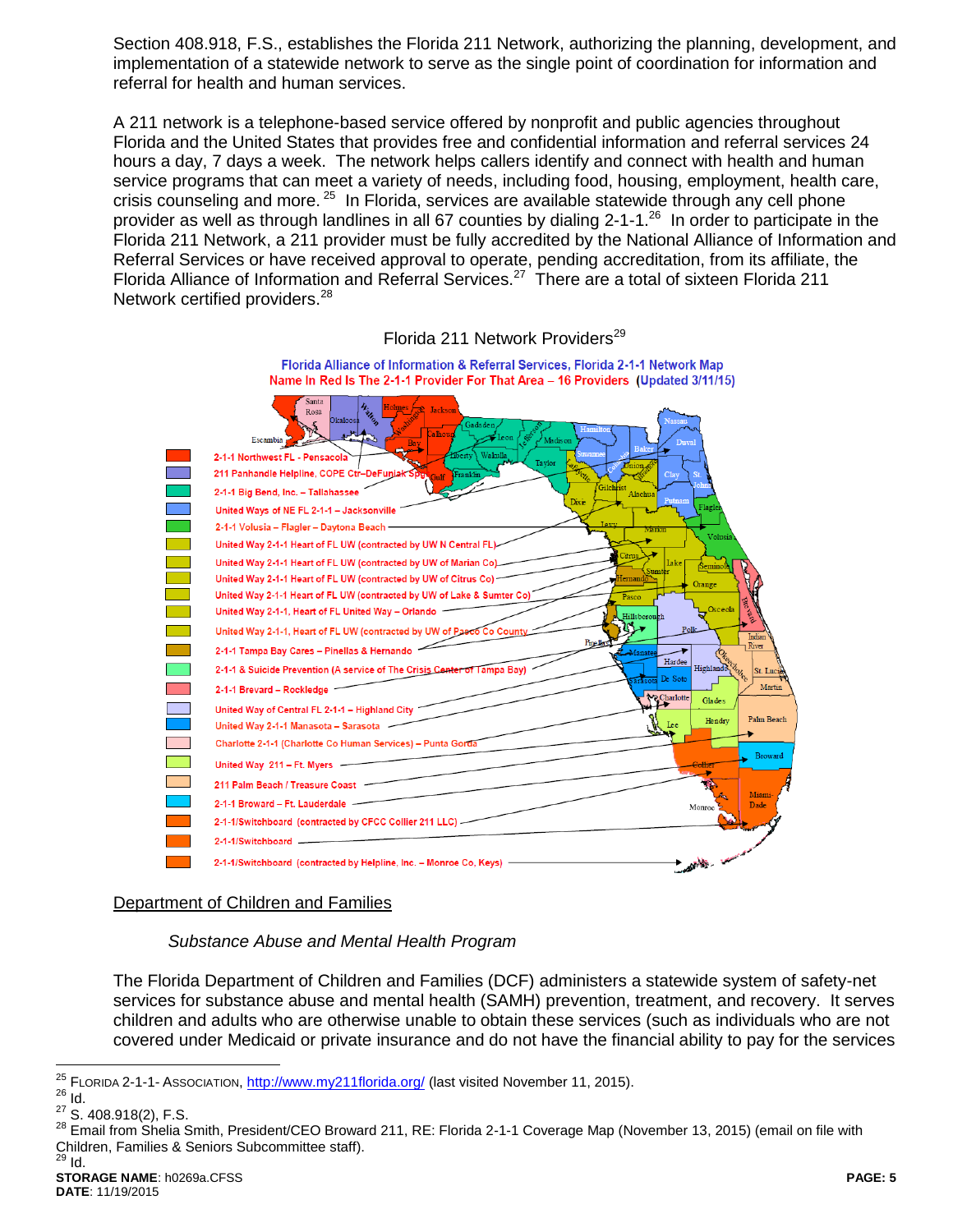Section 408.918, F.S., establishes the Florida 211 Network, authorizing the planning, development, and implementation of a statewide network to serve as the single point of coordination for information and referral for health and human services.

A 211 network is a telephone-based service offered by nonprofit and public agencies throughout Florida and the United States that provides free and confidential information and referral services 24 hours a day, 7 days a week. The network helps callers identify and connect with health and human service programs that can meet a variety of needs, including food, housing, employment, health care, crisis counseling and more. <sup>25</sup> In Florida, services are available statewide through any cell phone provider as well as through landlines in all 67 counties by dialing 2-1-1.<sup>26</sup> In order to participate in the Florida 211 Network, a 211 provider must be fully accredited by the National Alliance of Information and Referral Services or have received approval to operate, pending accreditation, from its affiliate, the Florida Alliance of Information and Referral Services.<sup>27</sup> There are a total of sixteen Florida 211 Network certified providers.<sup>28</sup>



#### Florida 211 Network Providers<sup>29</sup>

# Department of Children and Families

*Substance Abuse and Mental Health Program*

The Florida Department of Children and Families (DCF) administers a statewide system of safety-net services for substance abuse and mental health (SAMH) prevention, treatment, and recovery. It serves children and adults who are otherwise unable to obtain these services (such as individuals who are not covered under Medicaid or private insurance and do not have the financial ability to pay for the services

<sup>25</sup> <sup>25</sup> FLORIDA 2-1-1- ASSOCIATION,<http://www.my211florida.org/> (last visited November 11, 2015).

 $rac{26}{27}$  **Id.** 

S. 408.918(2), F.S.

<sup>&</sup>lt;sup>28</sup> Email from Shelia Smith, President/CEO Broward 211, RE: Florida 2-1-1 Coverage Map (November 13, 2015) (email on file with Children, Families & Seniors Subcommittee staff).<br><sup>29</sup> Id <sup>29</sup> Id.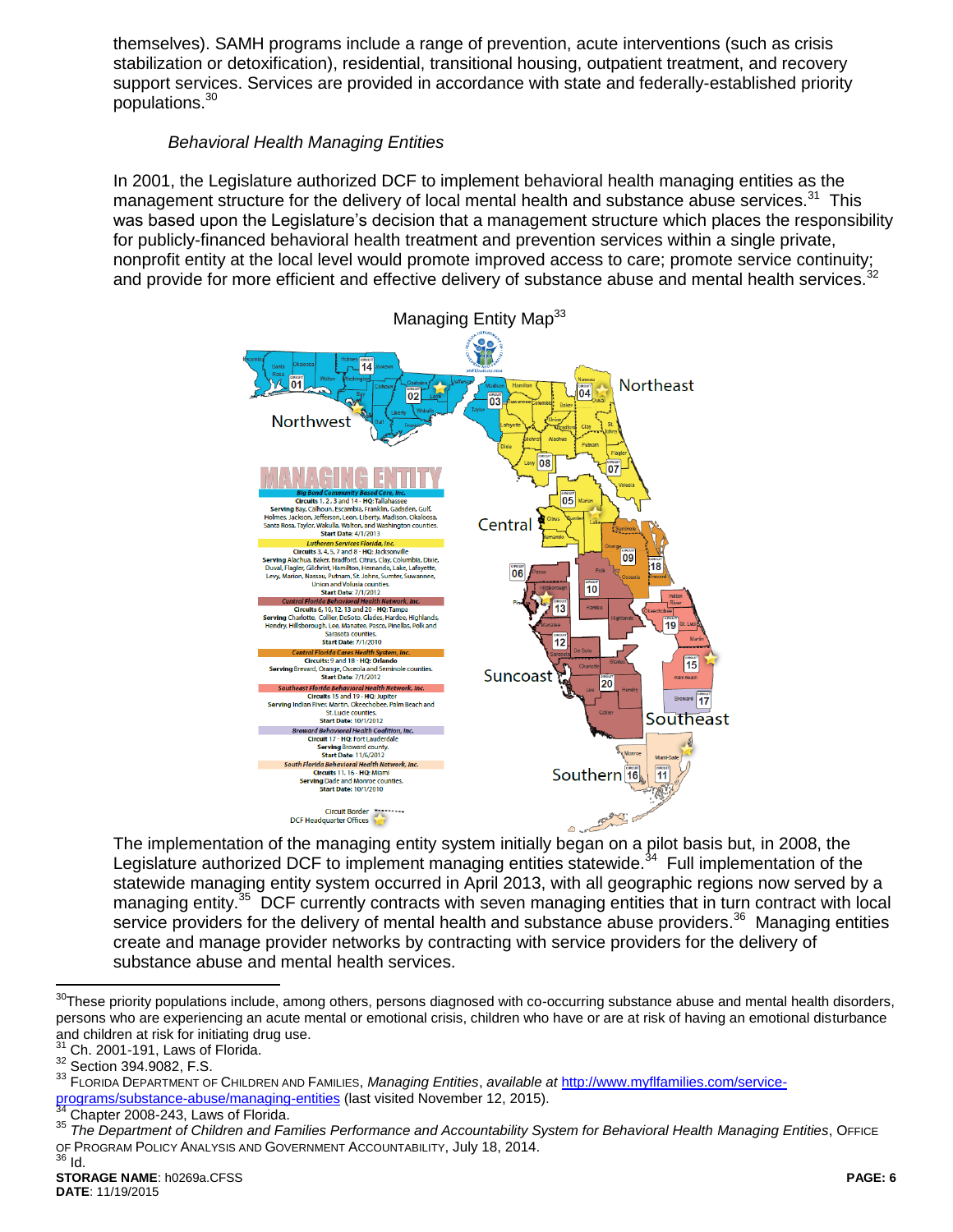themselves). SAMH programs include a range of prevention, acute interventions (such as crisis stabilization or detoxification), residential, transitional housing, outpatient treatment, and recovery support services. Services are provided in accordance with state and federally-established priority populations.<sup>30</sup>

# *Behavioral Health Managing Entities*

In 2001, the Legislature authorized DCF to implement behavioral health managing entities as the management structure for the delivery of local mental health and substance abuse services.<sup>31</sup> This was based upon the Legislature's decision that a management structure which places the responsibility for publicly-financed behavioral health treatment and prevention services within a single private, nonprofit entity at the local level would promote improved access to care; promote service continuity;<br>monprofit entity at the local level would promote improved access to care; promote service continuity; and provide for more efficient and effective delivery of substance abuse and mental health services.



The implementation of the managing entity system initially began on a pilot basis but, in 2008, the Legislature authorized DCF to implement managing entities statewide.<sup>34</sup> Full implementation of the statewide managing entity system occurred in April 2013, with all geographic regions now served by a managing entity.<sup>35</sup> DCF currently contracts with seven managing entities that in turn contract with local service providers for the delivery of mental health and substance abuse providers.<sup>36</sup> Managing entities create and manage provider networks by contracting with service providers for the delivery of substance abuse and mental health services.

 $\overline{a}$ 

 $30$ These priority populations include, among others, persons diagnosed with co-occurring substance abuse and mental health disorders, persons who are experiencing an acute mental or emotional crisis, children who have or are at risk of having an emotional disturbance and children at risk for initiating drug use.

Ch. 2001-191, Laws of Florida.

<sup>32</sup> Section 394.9082, F.S.

<sup>33</sup> FLORIDA DEPARTMENT OF CHILDREN AND FAMILIES, *Managing Entities*, *available at* [http://www.myflfamilies.com/service](http://www.myflfamilies.com/service-programs/substance-abuse/managing-entities)[programs/substance-abuse/managing-entities](http://www.myflfamilies.com/service-programs/substance-abuse/managing-entities) (last visited November 12, 2015).

Chapter 2008-243, Laws of Florida.

<sup>35</sup> The Department of Children and Families Performance and Accountability System for Behavioral Health Managing Entities, OFFICE OF PROGRAM POLICY ANALYSIS AND GOVERNMENT ACCOUNTABILITY, July 18, 2014.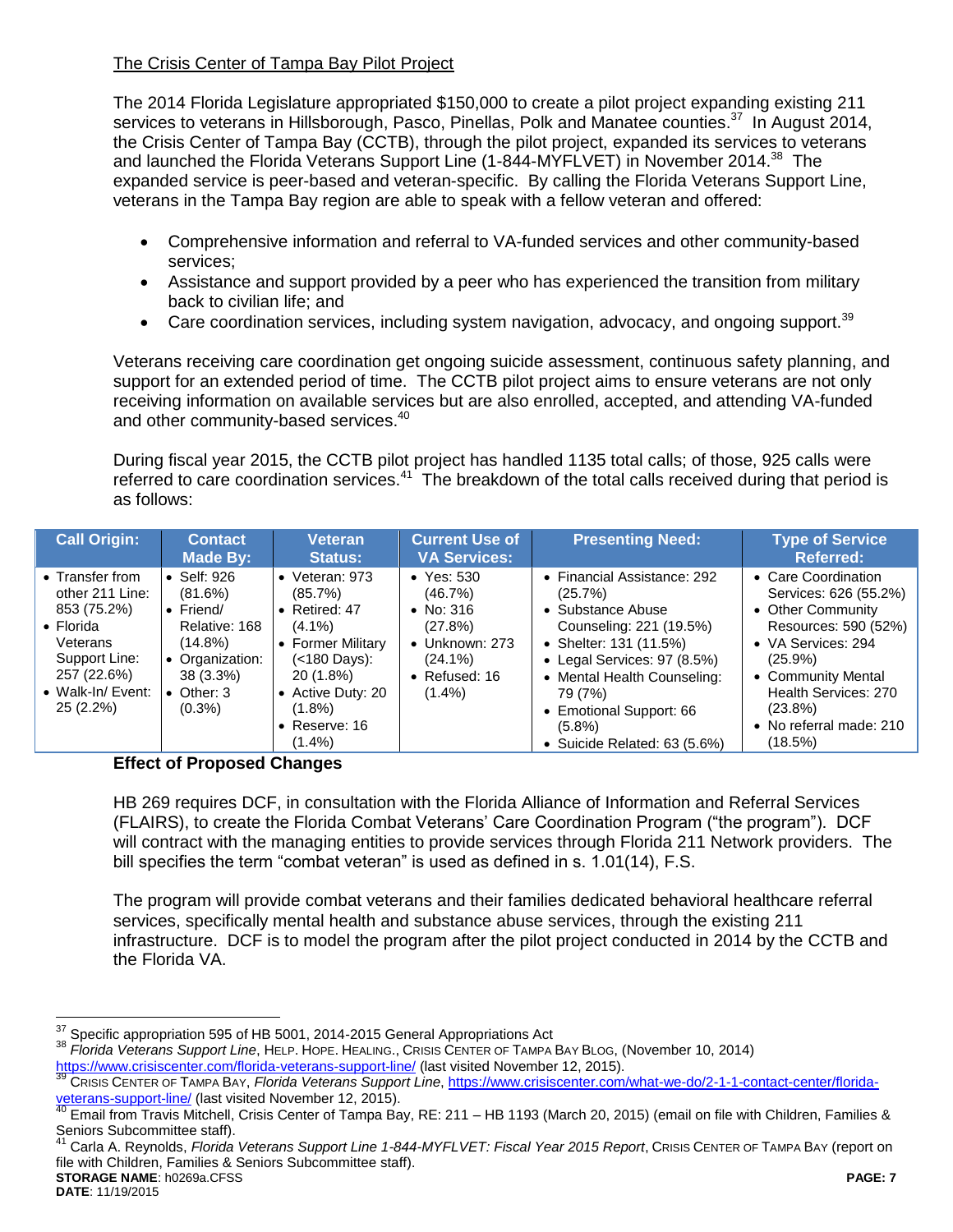# The Crisis Center of Tampa Bay Pilot Project

The 2014 Florida Legislature appropriated \$150,000 to create a pilot project expanding existing 211 services to veterans in Hillsborough, Pasco, Pinellas, Polk and Manatee counties.<sup>37</sup> In August 2014, the Crisis Center of Tampa Bay (CCTB), through the pilot project, expanded its services to veterans and launched the Florida Veterans Support Line (1-844-MYFLVET) in November 2014.<sup>38</sup> The expanded service is peer-based and veteran-specific. By calling the Florida Veterans Support Line, veterans in the Tampa Bay region are able to speak with a fellow veteran and offered:

- Comprehensive information and referral to VA-funded services and other community-based services;
- Assistance and support provided by a peer who has experienced the transition from military back to civilian life; and
- **Care coordination services, including system navigation, advocacy, and ongoing support.**<sup>39</sup>

Veterans receiving care coordination get ongoing suicide assessment, continuous safety planning, and support for an extended period of time. The CCTB pilot project aims to ensure veterans are not only receiving information on available services but are also enrolled, accepted, and attending VA-funded and other community-based services.<sup>40</sup>

During fiscal year 2015, the CCTB pilot project has handled 1135 total calls; of those, 925 calls were referred to care coordination services.<sup>41</sup> The breakdown of the total calls received during that period is as follows:

| <b>Call Origin:</b>                                                                                                                                    | <b>Contact</b><br>Made By:                                                                                                        | Veteran<br><b>Status:</b>                                                                                                                                                          | <b>Current Use of</b><br><b>VA Services:</b>                                                                            | <b>Presenting Need:</b>                                                                                                                                                                                                                                                        | <b>Type of Service</b><br><b>Referred:</b>                                                                                                                                                                                      |
|--------------------------------------------------------------------------------------------------------------------------------------------------------|-----------------------------------------------------------------------------------------------------------------------------------|------------------------------------------------------------------------------------------------------------------------------------------------------------------------------------|-------------------------------------------------------------------------------------------------------------------------|--------------------------------------------------------------------------------------------------------------------------------------------------------------------------------------------------------------------------------------------------------------------------------|---------------------------------------------------------------------------------------------------------------------------------------------------------------------------------------------------------------------------------|
| • Transfer from<br>other 211 Line:<br>853 (75.2%)<br>$\bullet$ Florida<br>Veterans<br>Support Line:<br>257 (22.6%)<br>• Walk-In/ Event:<br>$25(2.2\%)$ | Self: 926<br>(81.6%)<br>$\bullet$ Friend/<br>Relative: 168<br>$(14.8\%)$<br>• Organization:<br>38 (3.3%)<br>Other: 3<br>$(0.3\%)$ | • Veteran: $973$<br>(85.7%)<br>• Retired: $47$<br>$(4.1\%)$<br>• Former Military<br>$(<$ 180 Days):<br>20 (1.8%)<br>• Active Duty: 20<br>$(1.8\%)$<br>• Reserve: $16$<br>$(1.4\%)$ | $\bullet$ Yes: 530<br>(46.7%)<br>• No: $316$<br>(27.8%)<br>• Unknown: 273<br>$(24.1\%)$<br>• Refused: $16$<br>$(1.4\%)$ | • Financial Assistance: 292<br>(25.7%)<br>• Substance Abuse<br>Counseling: 221 (19.5%)<br>• Shelter: 131 (11.5%)<br>• Legal Services: 97 (8.5%)<br>• Mental Health Counseling:<br>79 (7%)<br>Emotional Support: 66<br>$\bullet$<br>$(5.8\%)$<br>• Suicide Related: $63$ (5.6%) | • Care Coordination<br>Services: 626 (55.2%)<br>• Other Community<br>Resources: 590 (52%)<br>• VA Services: 294<br>$(25.9\%)$<br>• Community Mental<br>Health Services: 270<br>$(23.8\%)$<br>• No referral made: 210<br>(18.5%) |

### **Effect of Proposed Changes**

HB 269 requires DCF, in consultation with the Florida Alliance of Information and Referral Services (FLAIRS), to create the Florida Combat Veterans' Care Coordination Program ("the program"). DCF will contract with the managing entities to provide services through Florida 211 Network providers. The bill specifies the term "combat veteran" is used as defined in s. 1.01(14), F.S.

The program will provide combat veterans and their families dedicated behavioral healthcare referral services, specifically mental health and substance abuse services, through the existing 211 infrastructure. DCF is to model the program after the pilot project conducted in 2014 by the CCTB and the Florida VA.

**STORAGE NAME**: h0269a.CFSS **PAGE: 7** <sup>41</sup> Carla A. Reynolds, *Florida Veterans Support Line 1-844-MYFLVET: Fiscal Year 2015 Report*, CRISIS CENTER OF TAMPA BAY (report on file with Children, Families & Seniors Subcommittee staff).

 $\overline{a}$ 

<sup>37</sup> Specific appropriation 595 of HB 5001, 2014-2015 General Appropriations Act

<sup>38</sup> *Florida Veterans Support Line*, HELP. HOPE. HEALING., CRISIS CENTER OF TAMPA BAY BLOG, (November 10, 2014) <https://www.crisiscenter.com/florida-veterans-support-line/> (last visited November 12, 2015).

<sup>39</sup> CRISIS CENTER OF TAMPA BAY, *Florida Veterans Support Line*, [https://www.crisiscenter.com/what-we-do/2-1-1-contact-center/florida](https://www.crisiscenter.com/what-we-do/2-1-1-contact-center/florida-veterans-support-line/)[veterans-support-line/](https://www.crisiscenter.com/what-we-do/2-1-1-contact-center/florida-veterans-support-line/) (last visited November 12, 2015).

<sup>40</sup> Email from Travis Mitchell, Crisis Center of Tampa Bay, RE: 211 – HB 1193 (March 20, 2015) (email on file with Children, Families & Seniors Subcommittee staff).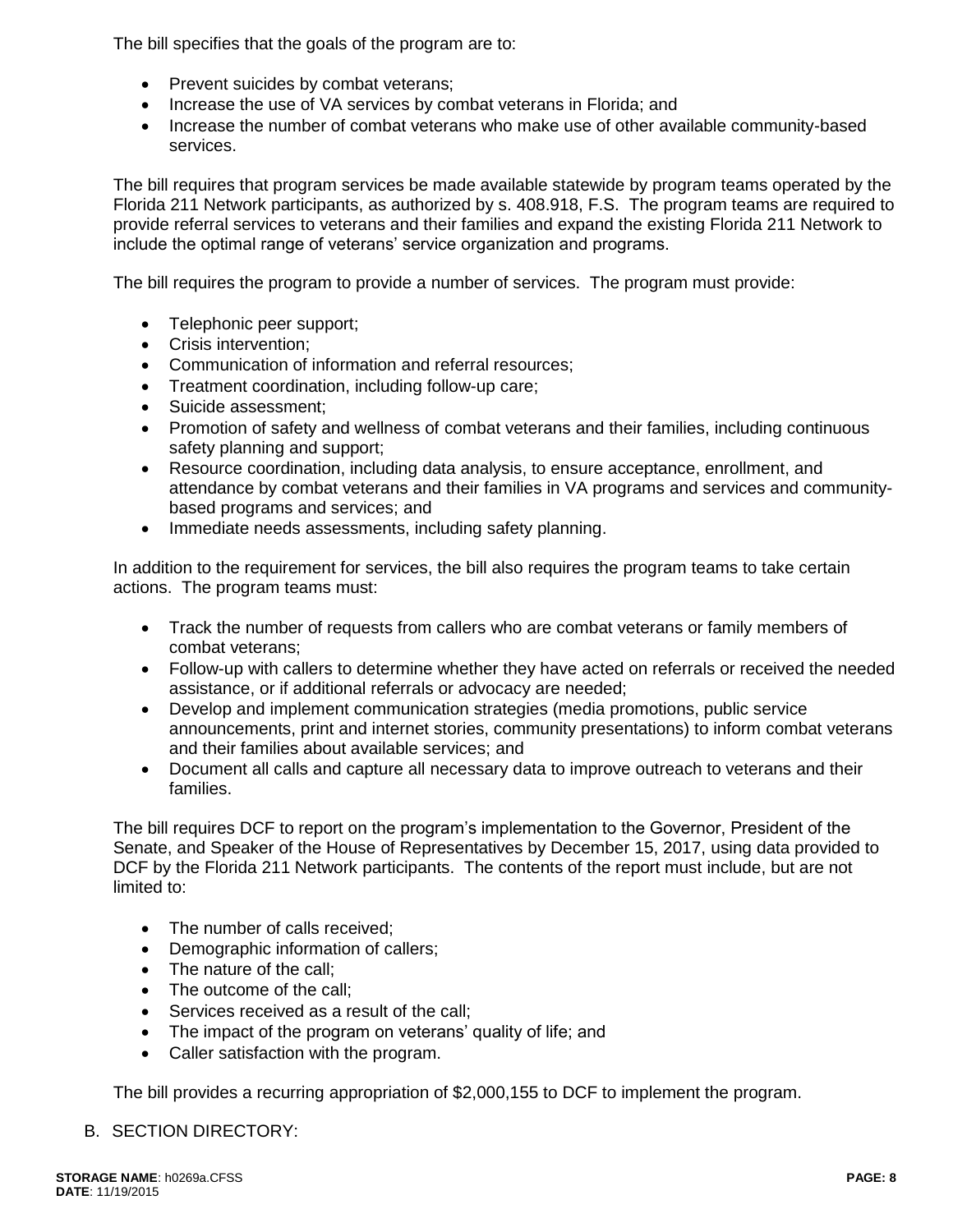The bill specifies that the goals of the program are to:

- Prevent suicides by combat veterans;
- Increase the use of VA services by combat veterans in Florida; and
- Increase the number of combat veterans who make use of other available community-based services.

The bill requires that program services be made available statewide by program teams operated by the Florida 211 Network participants, as authorized by s. 408.918, F.S. The program teams are required to provide referral services to veterans and their families and expand the existing Florida 211 Network to include the optimal range of veterans' service organization and programs.

The bill requires the program to provide a number of services. The program must provide:

- Telephonic peer support;
- Crisis intervention:
- Communication of information and referral resources;
- Treatment coordination, including follow-up care;
- Suicide assessment;
- Promotion of safety and wellness of combat veterans and their families, including continuous safety planning and support;
- Resource coordination, including data analysis, to ensure acceptance, enrollment, and attendance by combat veterans and their families in VA programs and services and communitybased programs and services; and
- Immediate needs assessments, including safety planning.

In addition to the requirement for services, the bill also requires the program teams to take certain actions. The program teams must:

- Track the number of requests from callers who are combat veterans or family members of combat veterans;
- Follow-up with callers to determine whether they have acted on referrals or received the needed assistance, or if additional referrals or advocacy are needed;
- Develop and implement communication strategies (media promotions, public service announcements, print and internet stories, community presentations) to inform combat veterans and their families about available services; and
- Document all calls and capture all necessary data to improve outreach to veterans and their families.

The bill requires DCF to report on the program's implementation to the Governor, President of the Senate, and Speaker of the House of Representatives by December 15, 2017, using data provided to DCF by the Florida 211 Network participants. The contents of the report must include, but are not limited to:

- The number of calls received:
- Demographic information of callers;
- The nature of the call:
- The outcome of the call:
- Services received as a result of the call;
- The impact of the program on veterans' quality of life; and
- Caller satisfaction with the program.

The bill provides a recurring appropriation of \$2,000,155 to DCF to implement the program.

### B. SECTION DIRECTORY: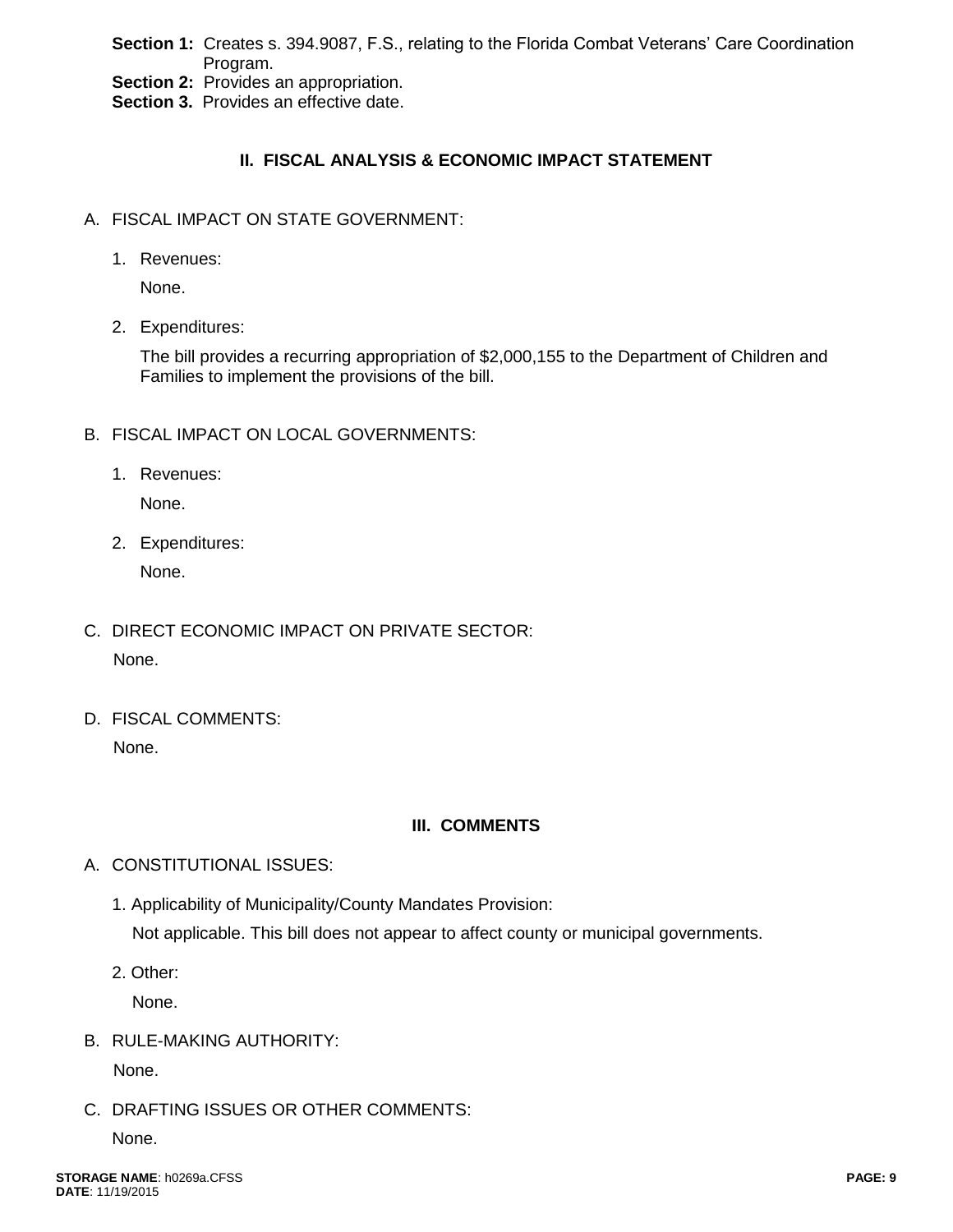**Section 1:** Creates s. 394.9087, F.S., relating to the Florida Combat Veterans' Care Coordination Program.

**Section 2:** Provides an appropriation.

**Section 3.** Provides an effective date.

# **II. FISCAL ANALYSIS & ECONOMIC IMPACT STATEMENT**

- A. FISCAL IMPACT ON STATE GOVERNMENT:
	- 1. Revenues:

None.

2. Expenditures:

The bill provides a recurring appropriation of \$2,000,155 to the Department of Children and Families to implement the provisions of the bill.

- B. FISCAL IMPACT ON LOCAL GOVERNMENTS:
	- 1. Revenues:

None.

2. Expenditures:

None.

- C. DIRECT ECONOMIC IMPACT ON PRIVATE SECTOR: None.
- D. FISCAL COMMENTS: None.

### **III. COMMENTS**

- A. CONSTITUTIONAL ISSUES:
	- 1. Applicability of Municipality/County Mandates Provision: Not applicable. This bill does not appear to affect county or municipal governments.
	- 2. Other:

None.

B. RULE-MAKING AUTHORITY:

None.

C. DRAFTING ISSUES OR OTHER COMMENTS:

None.